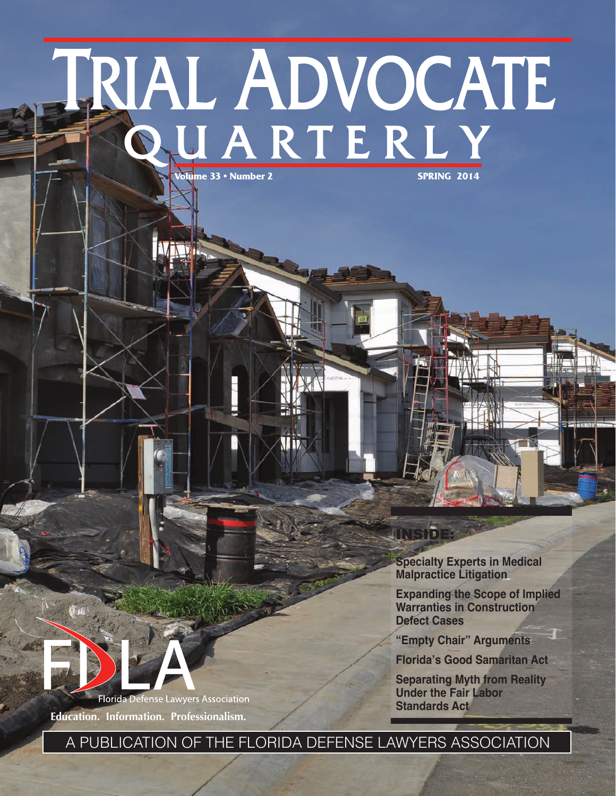# TRIAL ADVOCATE

**NINE** 

**Specialty Experts in Medical Malpractice Litigation**

INSIDE:

**Expanding the Scope of Implied Warranties in Construction Defect Cases**

**"Empty Chair" Arguments**

**Florida's Good Samaritan Act**

**Separating Myth from Reality Under the Fair Labor Standards Act**



**Education. Information. Professionalism.**

A PUBLICATION OF THE FLORIDA DEFENSE LAWYERS ASSOCIATION

**TID**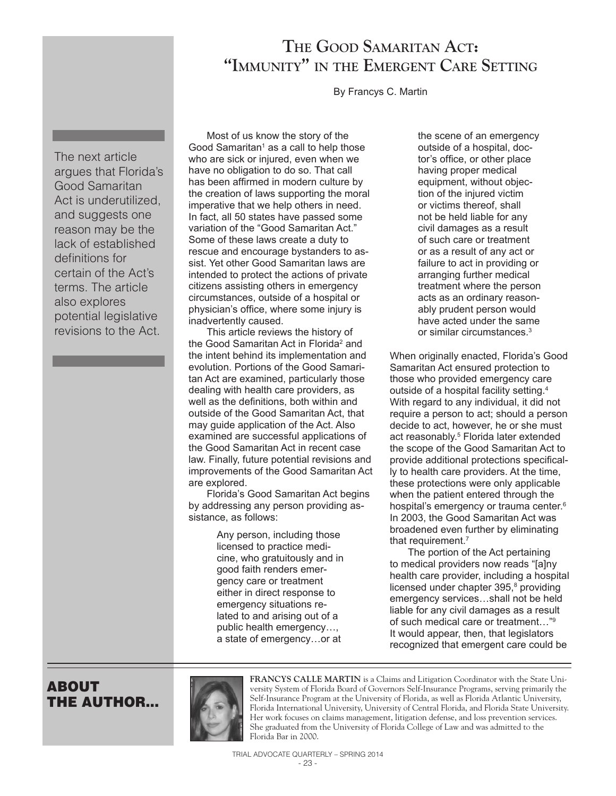# **The Good Samaritan Act: "Immunity" in the Emergent Care Setting**

By Francys C. Martin

The next article argues that Florida's Good Samaritan Act is underutilized, and suggests one reason may be the lack of established definitions for certain of the Act's terms. The article also explores potential legislative revisions to the Act.

Most of us know the story of the Good Samaritan<sup>1</sup> as a call to help those who are sick or injured, even when we have no obligation to do so. That call has been affirmed in modern culture by the creation of laws supporting the moral imperative that we help others in need. In fact, all 50 states have passed some variation of the "Good Samaritan Act." Some of these laws create a duty to rescue and encourage bystanders to assist. Yet other Good Samaritan laws are intended to protect the actions of private citizens assisting others in emergency circumstances, outside of a hospital or physician's office, where some injury is inadvertently caused.

This article reviews the history of the Good Samaritan Act in Florida<sup>2</sup> and the intent behind its implementation and evolution. Portions of the Good Samaritan Act are examined, particularly those dealing with health care providers, as well as the definitions, both within and outside of the Good Samaritan Act, that may guide application of the Act. Also examined are successful applications of the Good Samaritan Act in recent case law. Finally, future potential revisions and improvements of the Good Samaritan Act are explored.

Florida's Good Samaritan Act begins by addressing any person providing assistance, as follows:

> Any person, including those licensed to practice medicine, who gratuitously and in good faith renders emergency care or treatment either in direct response to emergency situations related to and arising out of a public health emergency…, a state of emergency…or at

the scene of an emergency outside of a hospital, doctor's office, or other place having proper medical equipment, without objection of the injured victim or victims thereof, shall not be held liable for any civil damages as a result of such care or treatment or as a result of any act or failure to act in providing or arranging further medical treatment where the person acts as an ordinary reasonably prudent person would have acted under the same or similar circumstances. 3

When originally enacted, Florida's Good Samaritan Act ensured protection to those who provided emergency care outside of a hospital facility setting. 4 With regard to any individual, it did not require a person to act; should a person decide to act, however, he or she must act reasonably. 5 Florida later extended the scope of the Good Samaritan Act to provide additional protections specifically to health care providers. At the time, these protections were only applicable when the patient entered through the hospital's emergency or trauma center. 6 In 2003, the Good Samaritan Act was broadened even further by eliminating that requirement. 7

The portion of the Act pertaining to medical providers now reads "[a]ny health care provider, including a hospital licensed under chapter 395,<sup>8</sup> providing emergency services…shall not be held liable for any civil damages as a result of such medical care or treatment…"9 It would appear, then, that legislators recognized that emergent care could be

## ABOUT THE AUTHOR...



**FRANCYS CALLE MARTIN** is a Claims and Litigation Coordinator with the State University System of Florida Board of Governors Self-Insurance Programs, serving primarily the Self-Insurance Program at the University of Florida, as well as Florida Atlantic University, Florida International University, University of Central Florida, and Florida State University. Her work focuses on claims management, litigation defense, and loss prevention services. She graduated from the University of Florida College of Law and was admitted to the Florida Bar in 2000.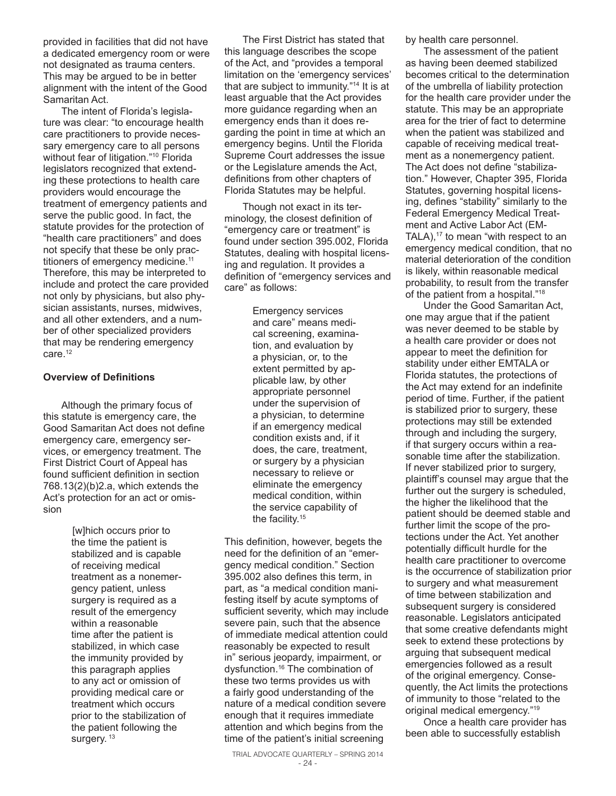provided in facilities that did not have a dedicated emergency room or were not designated as trauma centers. This may be argued to be in better alignment with the intent of the Good Samaritan Act.

The intent of Florida's legislature was clear: "to encourage health care practitioners to provide necessary emergency care to all persons without fear of litigation."10 Florida legislators recognized that extending these protections to health care providers would encourage the treatment of emergency patients and serve the public good. In fact, the statute provides for the protection of "health care practitioners" and does not specify that these be only practitioners of emergency medicine. 11 Therefore, this may be interpreted to include and protect the care provided not only by physicians, but also physician assistants, nurses, midwives, and all other extenders, and a number of other specialized providers that may be rendering emergency care. 12

### **Overview of Definitions**

Although the primary focus of this statute is emergency care, the Good Samaritan Act does not define emergency care, emergency services, or emergency treatment. The First District Court of Appeal has found sufficient definition in section 768.13(2)(b)2.a, which extends the Act's protection for an act or omission

> [w]hich occurs prior to the time the patient is stabilized and is capable of receiving medical treatment as a nonemergency patient, unless surgery is required as a result of the emergency within a reasonable time after the patient is stabilized, in which case the immunity provided by this paragraph applies to any act or omission of providing medical care or treatment which occurs prior to the stabilization of the patient following the surgery. <sup>13</sup>

The First District has stated that this language describes the scope of the Act, and "provides a temporal limitation on the 'emergency services' that are subject to immunity."14 It is at least arguable that the Act provides more guidance regarding when an emergency ends than it does regarding the point in time at which an emergency begins. Until the Florida Supreme Court addresses the issue or the Legislature amends the Act, definitions from other chapters of Florida Statutes may be helpful.

Though not exact in its terminology, the closest definition of "emergency care or treatment" is found under section 395.002, Florida Statutes, dealing with hospital licensing and regulation. It provides a definition of "emergency services and care" as follows:

> Emergency services and care" means medical screening, examination, and evaluation by a physician, or, to the extent permitted by applicable law, by other appropriate personnel under the supervision of a physician, to determine if an emergency medical condition exists and, if it does, the care, treatment, or surgery by a physician necessary to relieve or eliminate the emergency medical condition, within the service capability of the facility. 15

This definition, however, begets the need for the definition of an "emergency medical condition." Section 395.002 also defines this term, in part, as "a medical condition manifesting itself by acute symptoms of sufficient severity, which may include severe pain, such that the absence of immediate medical attention could reasonably be expected to result in" serious jeopardy, impairment, or dysfunction. 16 The combination of these two terms provides us with a fairly good understanding of the nature of a medical condition severe enough that it requires immediate attention and which begins from the time of the patient's initial screening

TRIAL ADVOCATE QUARTERLY – SPRING 2014

by health care personnel.

The assessment of the patient as having been deemed stabilized becomes critical to the determination of the umbrella of liability protection for the health care provider under the statute. This may be an appropriate area for the trier of fact to determine when the patient was stabilized and capable of receiving medical treatment as a nonemergency patient. The Act does not define "stabilization." However, Chapter 395, Florida Statutes, governing hospital licensing, defines "stability" similarly to the Federal Emergency Medical Treatment and Active Labor Act (EM-TALA),<sup>17</sup> to mean "with respect to an emergency medical condition, that no material deterioration of the condition is likely, within reasonable medical probability, to result from the transfer of the patient from a hospital."18

Under the Good Samaritan Act, one may argue that if the patient was never deemed to be stable by a health care provider or does not appear to meet the definition for stability under either EMTALA or Florida statutes, the protections of the Act may extend for an indefinite period of time. Further, if the patient is stabilized prior to surgery, these protections may still be extended through and including the surgery, if that surgery occurs within a reasonable time after the stabilization. If never stabilized prior to surgery, plaintiff's counsel may argue that the further out the surgery is scheduled, the higher the likelihood that the patient should be deemed stable and further limit the scope of the protections under the Act. Yet another potentially difficult hurdle for the health care practitioner to overcome is the occurrence of stabilization prior to surgery and what measurement of time between stabilization and subsequent surgery is considered reasonable. Legislators anticipated that some creative defendants might seek to extend these protections by arguing that subsequent medical emergencies followed as a result of the original emergency. Consequently, the Act limits the protections of immunity to those "related to the original medical emergency." 19

Once a health care provider has been able to successfully establish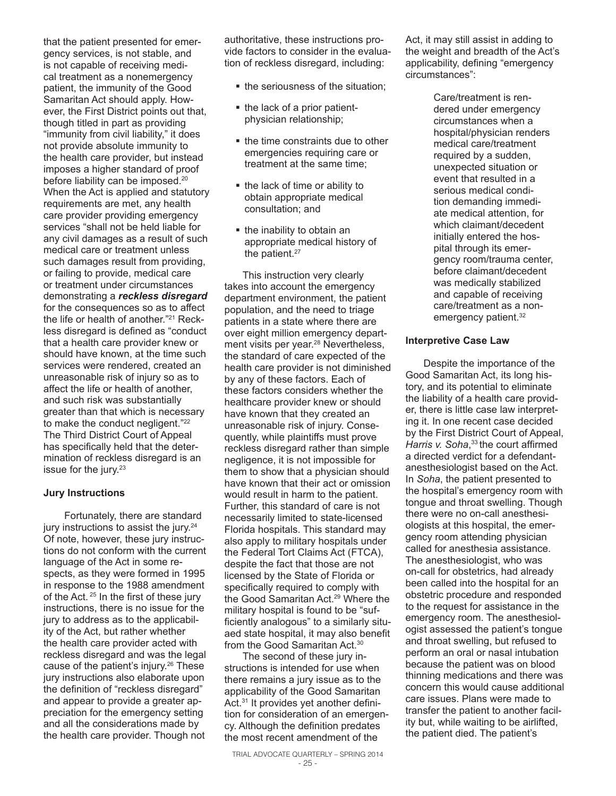that the patient presented for emergency services, is not stable, and is not capable of receiving medical treatment as a nonemergency patient, the immunity of the Good Samaritan Act should apply. However, the First District points out that, though titled in part as providing "immunity from civil liability," it does not provide absolute immunity to the health care provider, but instead imposes a higher standard of proof before liability can be imposed.<sup>20</sup> When the Act is applied and statutory requirements are met, any health care provider providing emergency services "shall not be held liable for any civil damages as a result of such medical care or treatment unless such damages result from providing, or failing to provide, medical care or treatment under circumstances demonstrating a *reckless disregard* for the consequences so as to affect the life or health of another." 21 Reckless disregard is defined as "conduct that a health care provider knew or should have known, at the time such services were rendered, created an unreasonable risk of injury so as to affect the life or health of another, and such risk was substantially greater than that which is necessary to make the conduct negligent."<sup>22</sup> The Third District Court of Appeal has specifically held that the determination of reckless disregard is an issue for the jury. 23

### **Jury Instructions**

 Fortunately, there are standard jury instructions to assist the jury. 24 Of note, however, these jury instructions do not conform with the current language of the Act in some respects, as they were formed in 1995 in response to the 1988 amendment of the Act. <sup>25</sup> In the first of these jury instructions, there is no issue for the jury to address as to the applicability of the Act, but rather whether the health care provider acted with reckless disregard and was the legal cause of the patient's injury. 26 These jury instructions also elaborate upon the definition of "reckless disregard" and appear to provide a greater appreciation for the emergency setting and all the considerations made by the health care provider. Though not

authoritative, these instructions provide factors to consider in the evaluation of reckless disregard, including:

- the seriousness of the situation:
- the lack of a prior patientphysician relationship;
- the time constraints due to other emergencies requiring care or treatment at the same time;
- the lack of time or ability to obtain appropriate medical consultation; and
- $\blacksquare$  the inability to obtain an appropriate medical history of the patient.<sup>27</sup>

This instruction very clearly takes into account the emergency department environment, the patient population, and the need to triage patients in a state where there are over eight million emergency department visits per year. 28 Nevertheless, the standard of care expected of the health care provider is not diminished by any of these factors. Each of these factors considers whether the healthcare provider knew or should have known that they created an unreasonable risk of injury. Consequently, while plaintiffs must prove reckless disregard rather than simple negligence, it is not impossible for them to show that a physician should have known that their act or omission would result in harm to the patient. Further, this standard of care is not necessarily limited to state-licensed Florida hospitals. This standard may also apply to military hospitals under the Federal Tort Claims Act (FTCA), despite the fact that those are not licensed by the State of Florida or specifically required to comply with the Good Samaritan Act. 29 Where the military hospital is found to be "sufficiently analogous" to a similarly situaed state hospital, it may also benefit from the Good Samaritan Act. 30

The second of these jury instructions is intended for use when there remains a jury issue as to the applicability of the Good Samaritan Act.<sup>31</sup> It provides yet another definition for consideration of an emergency. Although the definition predates the most recent amendment of the

Act, it may still assist in adding to the weight and breadth of the Act's applicability, defining "emergency circumstances":

> Care/treatment is rendered under emergency circumstances when a hospital/physician renders medical care/treatment required by a sudden, unexpected situation or event that resulted in a serious medical condition demanding immediate medical attention, for which claimant/decedent initially entered the hospital through its emergency room/trauma center, before claimant/decedent was medically stabilized and capable of receiving care/treatment as a nonemergency patient. 32

### **Interpretive Case Law**

Despite the importance of the Good Samaritan Act, its long history, and its potential to eliminate the liability of a health care provider, there is little case law interpreting it. In one recent case decided by the First District Court of Appeal, Harris v. Soha,<sup>33</sup> the court affirmed a directed verdict for a defendantanesthesiologist based on the Act. In *Soha*, the patient presented to the hospital's emergency room with tongue and throat swelling. Though there were no on-call anesthesiologists at this hospital, the emergency room attending physician called for anesthesia assistance. The anesthesiologist, who was on-call for obstetrics, had already been called into the hospital for an obstetric procedure and responded to the request for assistance in the emergency room. The anesthesiologist assessed the patient's tongue and throat swelling, but refused to perform an oral or nasal intubation because the patient was on blood thinning medications and there was concern this would cause additional care issues. Plans were made to transfer the patient to another facility but, while waiting to be airlifted, the patient died. The patient's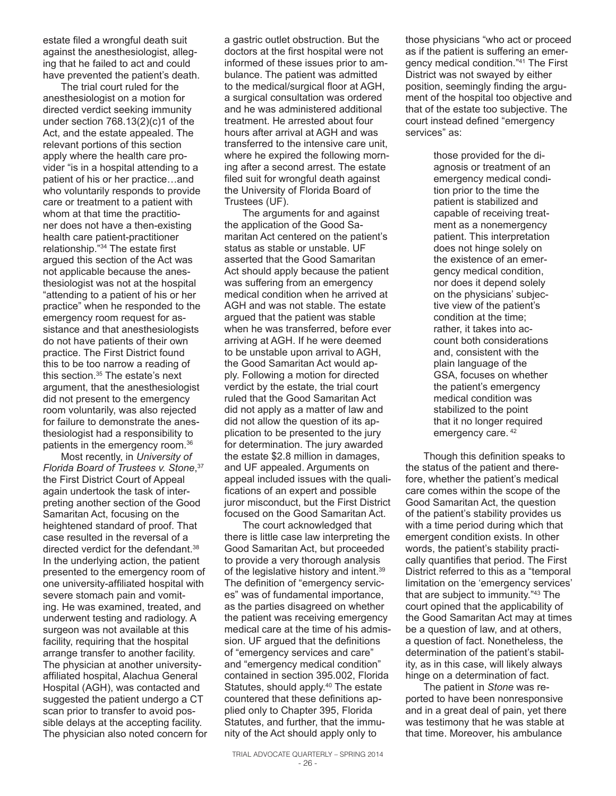estate filed a wrongful death suit against the anesthesiologist, alleging that he failed to act and could have prevented the patient's death.

The trial court ruled for the anesthesiologist on a motion for directed verdict seeking immunity under section 768.13(2)(c)1 of the Act, and the estate appealed. The relevant portions of this section apply where the health care provider "is in a hospital attending to a patient of his or her practice…and who voluntarily responds to provide care or treatment to a patient with whom at that time the practitioner does not have a then-existing health care patient-practitioner relationship."34 The estate first argued this section of the Act was not applicable because the anesthesiologist was not at the hospital "attending to a patient of his or her practice" when he responded to the emergency room request for assistance and that anesthesiologists do not have patients of their own practice. The First District found this to be too narrow a reading of this section. 35 The estate's next argument, that the anesthesiologist did not present to the emergency room voluntarily, was also rejected for failure to demonstrate the anesthesiologist had a responsibility to patients in the emergency room. 36

Most recently, in *University of Florida Board of Trustees v. Stone*, 37 the First District Court of Appeal again undertook the task of interpreting another section of the Good Samaritan Act, focusing on the heightened standard of proof. That case resulted in the reversal of a directed verdict for the defendant. 38 In the underlying action, the patient presented to the emergency room of one university-affiliated hospital with severe stomach pain and vomiting. He was examined, treated, and underwent testing and radiology. A surgeon was not available at this facility, requiring that the hospital arrange transfer to another facility. The physician at another universityaffiliated hospital, Alachua General Hospital (AGH), was contacted and suggested the patient undergo a CT scan prior to transfer to avoid possible delays at the accepting facility. The physician also noted concern for a gastric outlet obstruction. But the doctors at the first hospital were not informed of these issues prior to ambulance. The patient was admitted to the medical/surgical floor at AGH, a surgical consultation was ordered and he was administered additional treatment. He arrested about four hours after arrival at AGH and was transferred to the intensive care unit, where he expired the following morning after a second arrest. The estate filed suit for wrongful death against the University of Florida Board of Trustees (UF).

The arguments for and against the application of the Good Samaritan Act centered on the patient's status as stable or unstable. UF asserted that the Good Samaritan Act should apply because the patient was suffering from an emergency medical condition when he arrived at AGH and was not stable. The estate argued that the patient was stable when he was transferred, before ever arriving at AGH. If he were deemed to be unstable upon arrival to AGH, the Good Samaritan Act would apply. Following a motion for directed verdict by the estate, the trial court ruled that the Good Samaritan Act did not apply as a matter of law and did not allow the question of its application to be presented to the jury for determination. The jury awarded the estate \$2.8 million in damages, and UF appealed. Arguments on appeal included issues with the qualifications of an expert and possible juror misconduct, but the First District focused on the Good Samaritan Act.

The court acknowledged that there is little case law interpreting the Good Samaritan Act, but proceeded to provide a very thorough analysis of the legislative history and intent. 39 The definition of "emergency services" was of fundamental importance, as the parties disagreed on whether the patient was receiving emergency medical care at the time of his admission. UF argued that the definitions of "emergency services and care" and "emergency medical condition" contained in section 395.002, Florida Statutes, should apply.<sup>40</sup> The estate countered that these definitions applied only to Chapter 395, Florida Statutes, and further, that the immunity of the Act should apply only to

those physicians "who act or proceed as if the patient is suffering an emergency medical condition."41 The First District was not swayed by either position, seemingly finding the argument of the hospital too objective and that of the estate too subjective. The court instead defined "emergency services" as:

> those provided for the diagnosis or treatment of an emergency medical condition prior to the time the patient is stabilized and capable of receiving treatment as a nonemergency patient. This interpretation does not hinge solely on the existence of an emergency medical condition, nor does it depend solely on the physicians' subjective view of the patient's condition at the time; rather, it takes into account both considerations and, consistent with the plain language of the GSA, focuses on whether the patient's emergency medical condition was stabilized to the point that it no longer required emergency care.<sup>42</sup>

Though this definition speaks to the status of the patient and therefore, whether the patient's medical care comes within the scope of the Good Samaritan Act, the question of the patient's stability provides us with a time period during which that emergent condition exists. In other words, the patient's stability practically quantifies that period. The First District referred to this as a "temporal limitation on the 'emergency services' that are subject to immunity."43 The court opined that the applicability of the Good Samaritan Act may at times be a question of law, and at others, a question of fact. Nonetheless, the determination of the patient's stability, as in this case, will likely always hinge on a determination of fact.

The patient in *Stone* was reported to have been nonresponsive and in a great deal of pain, yet there was testimony that he was stable at that time. Moreover, his ambulance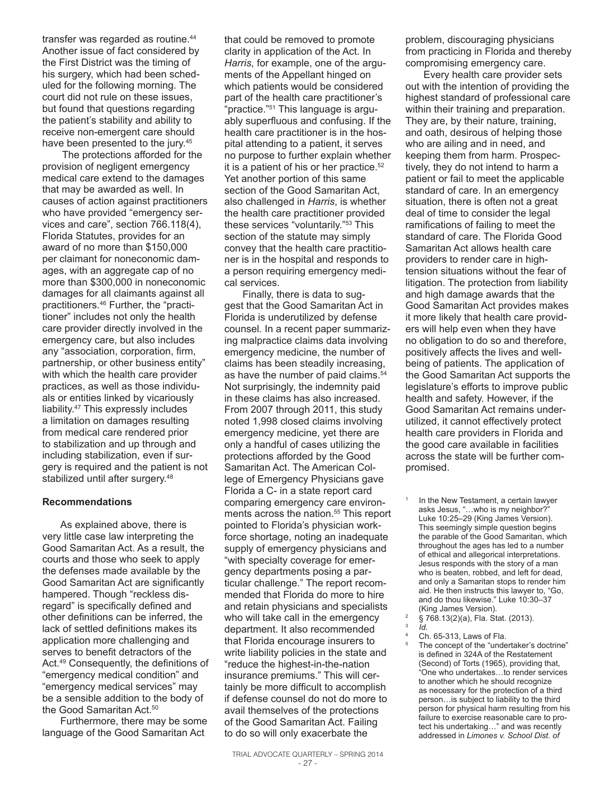transfer was regarded as routine. 44 Another issue of fact considered by the First District was the timing of his surgery, which had been scheduled for the following morning. The court did not rule on these issues, but found that questions regarding the patient's stability and ability to receive non-emergent care should have been presented to the jury. 45

 The protections afforded for the provision of negligent emergency medical care extend to the damages that may be awarded as well. In causes of action against practitioners who have provided "emergency services and care", section 766.118(4), Florida Statutes, provides for an award of no more than \$150,000 per claimant for noneconomic damages, with an aggregate cap of no more than \$300,000 in noneconomic damages for all claimants against all practitioners. 46 Further, the "practitioner" includes not only the health care provider directly involved in the emergency care, but also includes any "association, corporation, firm, partnership, or other business entity" with which the health care provider practices, as well as those individuals or entities linked by vicariously liability. 47 This expressly includes a limitation on damages resulting from medical care rendered prior to stabilization and up through and including stabilization, even if surgery is required and the patient is not stabilized until after surgery.<sup>48</sup>

### **Recommendations**

As explained above, there is very little case law interpreting the Good Samaritan Act. As a result, the courts and those who seek to apply the defenses made available by the Good Samaritan Act are significantly hampered. Though "reckless disregard" is specifically defined and other definitions can be inferred, the lack of settled definitions makes its application more challenging and serves to benefit detractors of the Act. <sup>49</sup> Consequently, the definitions of "emergency medical condition" and "emergency medical services" may be a sensible addition to the body of the Good Samaritan Act. 50

Furthermore, there may be some language of the Good Samaritan Act

that could be removed to promote clarity in application of the Act. In *Harris*, for example, one of the arguments of the Appellant hinged on which patients would be considered part of the health care practitioner's "practice."51 This language is arguably superfluous and confusing. If the health care practitioner is in the hospital attending to a patient, it serves no purpose to further explain whether it is a patient of his or her practice. 52 Yet another portion of this same section of the Good Samaritan Act, also challenged in *Harris*, is whether the health care practitioner provided these services "voluntarily."53 This section of the statute may simply convey that the health care practitioner is in the hospital and responds to a person requiring emergency medical services.

Finally, there is data to suggest that the Good Samaritan Act in Florida is underutilized by defense counsel. In a recent paper summarizing malpractice claims data involving emergency medicine, the number of claims has been steadily increasing, as have the number of paid claims. 54 Not surprisingly, the indemnity paid in these claims has also increased. From 2007 through 2011, this study noted 1,998 closed claims involving emergency medicine, yet there are only a handful of cases utilizing the protections afforded by the Good Samaritan Act. The American College of Emergency Physicians gave Florida a C- in a state report card comparing emergency care environments across the nation. 55 This report pointed to Florida's physician workforce shortage, noting an inadequate supply of emergency physicians and "with specialty coverage for emergency departments posing a particular challenge." The report recommended that Florida do more to hire and retain physicians and specialists who will take call in the emergency department. It also recommended that Florida encourage insurers to write liability policies in the state and "reduce the highest-in-the-nation insurance premiums." This will certainly be more difficult to accomplish if defense counsel do not do more to avail themselves of the protections of the Good Samaritan Act. Failing to do so will only exacerbate the

problem, discouraging physicians from practicing in Florida and thereby compromising emergency care.

Every health care provider sets out with the intention of providing the highest standard of professional care within their training and preparation. They are, by their nature, training, and oath, desirous of helping those who are ailing and in need, and keeping them from harm. Prospectively, they do not intend to harm a patient or fail to meet the applicable standard of care. In an emergency situation, there is often not a great deal of time to consider the legal ramifications of failing to meet the standard of care. The Florida Good Samaritan Act allows health care providers to render care in hightension situations without the fear of litigation. The protection from liability and high damage awards that the Good Samaritan Act provides makes it more likely that health care providers will help even when they have no obligation to do so and therefore, positively affects the lives and wellbeing of patients. The application of the Good Samaritan Act supports the legislature's efforts to improve public health and safety. However, if the Good Samaritan Act remains underutilized, it cannot effectively protect health care providers in Florida and the good care available in facilities across the state will be further compromised.

 $\frac{2}{3}$  § 768.13(2)(a), Fla. Stat. (2013).

<sup>4</sup> Ch. 65-313, Laws of Fla.<br> $\frac{5}{2}$  The concent of the "under The concept of the "undertaker's doctrine" is defined in 324A of the Restatement (Second) of Torts (1965), providing that, "One who undertakes…to render services to another which he should recognize as necessary for the protection of a third person…is subject to liability to the third person for physical harm resulting from his failure to exercise reasonable care to protect his undertaking…" and was recently addressed in *Limones v. School Dist. of* 

In the New Testament, a certain lawyer asks Jesus, "…who is my neighbor?" Luke 10:25–29 (King James Version). This seemingly simple question begins the parable of the Good Samaritan, which throughout the ages has led to a number of ethical and allegorical interpretations. Jesus responds with the story of a man who is beaten, robbed, and left for dead, and only a Samaritan stops to render him aid. He then instructs this lawyer to, "Go, and do thou likewise." Luke 10:30–37 (King James Version).

<sup>3</sup> *Id.*